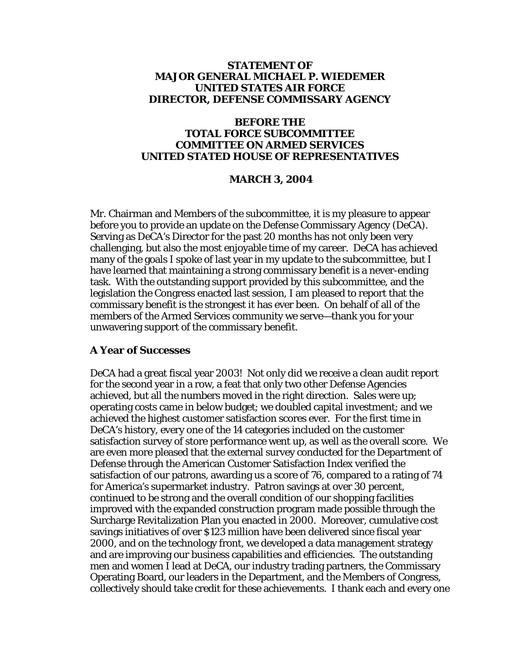### **STATEMENT OF MAJOR GENERAL MICHAEL P. WIEDEMER UNITED STATES AIR FORCE DIRECTOR, DEFENSE COMMISSARY AGENCY**

#### **BEFORE THE TOTAL FORCE SUBCOMMITTEE COMMITTEE ON ARMED SERVICES UNITED STATED HOUSE OF REPRESENTATIVES**

#### **MARCH 3, 2004**

Mr. Chairman and Members of the subcommittee, it is my pleasure to appear before you to provide an update on the Defense Commissary Agency (DeCA). Serving as DeCA's Director for the past 20 months has not only been very challenging, but also the most enjoyable time of my career. DeCA has achieved many of the goals I spoke of last year in my update to the subcommittee, but I have learned that maintaining a strong commissary benefit is a never-ending task. With the outstanding support provided by this subcommittee, and the legislation the Congress enacted last session, I am pleased to report that the commissary benefit is the strongest it has ever been. On behalf of all of the members of the Armed Services community we serve—thank you for your unwavering support of the commissary benefit.

#### **A Year of Successes**

DeCA had a great fiscal year 2003! Not only did we receive a clean audit report for the second year in a row, a feat that only two other Defense Agencies achieved, but all the numbers moved in the right direction. Sales were up; operating costs came in below budget; we doubled capital investment; and we achieved the highest customer satisfaction scores ever. For the first time in DeCA's history, every one of the 14 categories included on the customer satisfaction survey of store performance went up, as well as the overall score. We are even more pleased that the external survey conducted for the Department of Defense through the American Customer Satisfaction Index verified the satisfaction of our patrons, awarding us a score of 76, compared to a rating of 74 for America's supermarket industry. Patron savings at over 30 percent, continued to be strong and the overall condition of our shopping facilities improved with the expanded construction program made possible through the Surcharge Revitalization Plan you enacted in 2000. Moreover, cumulative cost savings initiatives of over \$123 million have been delivered since fiscal year 2000, and on the technology front, we developed a data management strategy and are improving our business capabilities and efficiencies. The outstanding men and women I lead at DeCA, our industry trading partners, the Commissary Operating Board, our leaders in the Department, and the Members of Congress, collectively should take credit for these achievements. I thank each and every one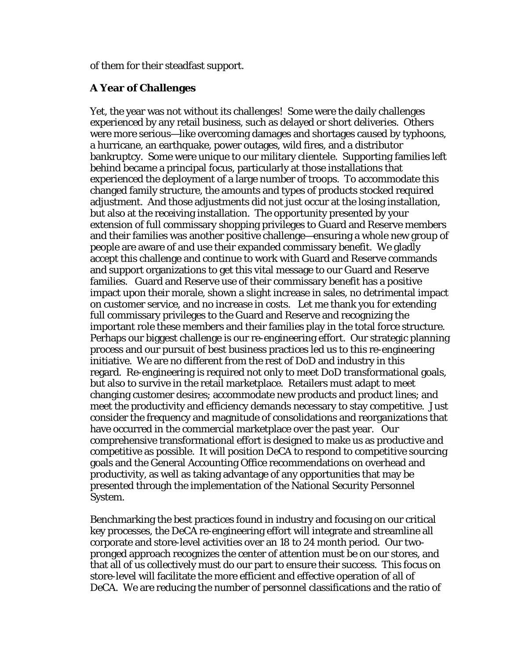of them for their steadfast support.

### **A Year of Challenges**

Yet, the year was not without its challenges! Some were the daily challenges experienced by any retail business, such as delayed or short deliveries. Others were more serious—like overcoming damages and shortages caused by typhoons, a hurricane, an earthquake, power outages, wild fires, and a distributor bankruptcy. Some were unique to our military clientele. Supporting families left behind became a principal focus, particularly at those installations that experienced the deployment of a large number of troops. To accommodate this changed family structure, the amounts and types of products stocked required adjustment. And those adjustments did not just occur at the losing installation, but also at the receiving installation. The opportunity presented by your extension of full commissary shopping privileges to Guard and Reserve members and their families was another positive challenge—ensuring a whole new group of people are aware of and use their expanded commissary benefit. We gladly accept this challenge and continue to work with Guard and Reserve commands and support organizations to get this vital message to our Guard and Reserve families. Guard and Reserve use of their commissary benefit has a positive impact upon their morale, shown a slight increase in sales, no detrimental impact on customer service, and no increase in costs. Let me thank you for extending full commissary privileges to the Guard and Reserve and recognizing the important role these members and their families play in the total force structure. Perhaps our biggest challenge is our re-engineering effort. Our strategic planning process and our pursuit of best business practices led us to this re-engineering initiative. We are no different from the rest of DoD and industry in this regard. Re-engineering is required not only to meet DoD transformational goals, but also to survive in the retail marketplace. Retailers must adapt to meet changing customer desires; accommodate new products and product lines; and meet the productivity and efficiency demands necessary to stay competitive. Just consider the frequency and magnitude of consolidations and reorganizations that have occurred in the commercial marketplace over the past year. Our comprehensive transformational effort is designed to make us as productive and competitive as possible. It will position DeCA to respond to competitive sourcing goals and the General Accounting Office recommendations on overhead and productivity, as well as taking advantage of any opportunities that may be presented through the implementation of the National Security Personnel System.

Benchmarking the best practices found in industry and focusing on our critical key processes, the DeCA re-engineering effort will integrate and streamline all corporate and store-level activities over an 18 to 24 month period. Our twopronged approach recognizes the center of attention must be on our stores, and that all of us collectively must do our part to ensure their success. This focus on store-level will facilitate the more efficient and effective operation of all of DeCA. We are reducing the number of personnel classifications and the ratio of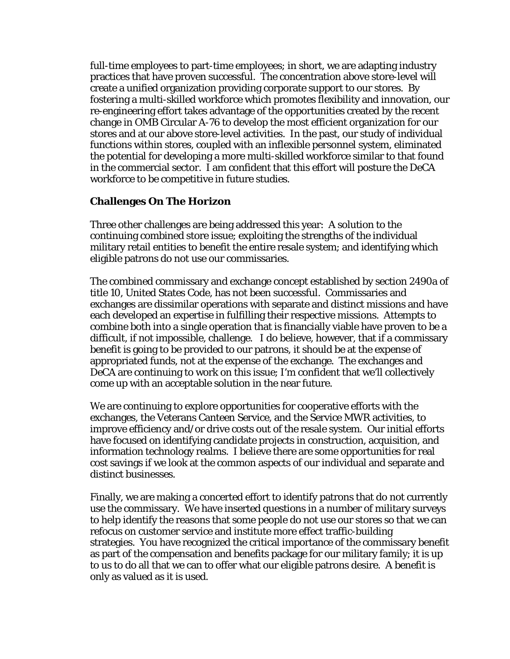full-time employees to part-time employees; in short, we are adapting industry practices that have proven successful. The concentration above store-level will create a unified organization providing corporate support to our stores. By fostering a multi-skilled workforce which promotes flexibility and innovation, our re-engineering effort takes advantage of the opportunities created by the recent change in OMB Circular A-76 to develop the most efficient organization for our stores and at our above store-level activities. In the past, our study of individual functions within stores, coupled with an inflexible personnel system, eliminated the potential for developing a more multi-skilled workforce similar to that found in the commercial sector. I am confident that this effort will posture the DeCA workforce to be competitive in future studies.

# **Challenges On The Horizon**

Three other challenges are being addressed this year: A solution to the continuing combined store issue; exploiting the strengths of the individual military retail entities to benefit the entire resale system; and identifying which eligible patrons do not use our commissaries.

The combined commissary and exchange concept established by section 2490a of title 10, United States Code, has not been successful. Commissaries and exchanges are dissimilar operations with separate and distinct missions and have each developed an expertise in fulfilling their respective missions. Attempts to combine both into a single operation that is financially viable have proven to be a difficult, if not impossible, challenge. I do believe, however, that if a commissary benefit is going to be provided to our patrons, it should be at the expense of appropriated funds, not at the expense of the exchange. The exchanges and DeCA are continuing to work on this issue; I'm confident that we'll collectively come up with an acceptable solution in the near future.

We are continuing to explore opportunities for cooperative efforts with the exchanges, the Veterans Canteen Service, and the Service MWR activities, to improve efficiency and/or drive costs out of the resale system. Our initial efforts have focused on identifying candidate projects in construction, acquisition, and information technology realms. I believe there are some opportunities for real cost savings if we look at the common aspects of our individual and separate and distinct businesses.

Finally, we are making a concerted effort to identify patrons that do not currently use the commissary. We have inserted questions in a number of military surveys to help identify the reasons that some people do not use our stores so that we can refocus on customer service and institute more effect traffic-building strategies. You have recognized the critical importance of the commissary benefit as part of the compensation and benefits package for our military family; it is up to us to do all that we can to offer what our eligible patrons desire. A benefit is only as valued as it is used.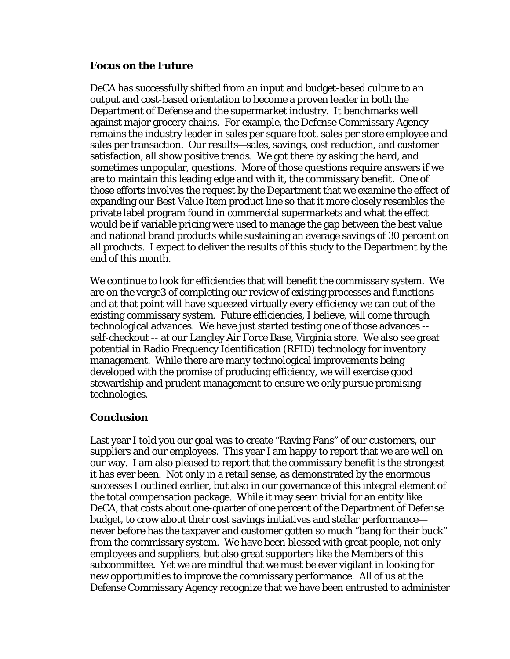# **Focus on the Future**

DeCA has successfully shifted from an input and budget-based culture to an output and cost-based orientation to become a proven leader in both the Department of Defense and the supermarket industry. It benchmarks well against major grocery chains. For example, the Defense Commissary Agency remains the industry leader in sales per square foot, sales per store employee and sales per transaction. Our results—sales, savings, cost reduction, and customer satisfaction, all show positive trends. We got there by asking the hard, and sometimes unpopular, questions. More of those questions require answers if we are to maintain this leading edge and with it, the commissary benefit. One of those efforts involves the request by the Department that we examine the effect of expanding our Best Value Item product line so that it more closely resembles the private label program found in commercial supermarkets and what the effect would be if variable pricing were used to manage the gap between the best value and national brand products while sustaining an average savings of 30 percent on all products. I expect to deliver the results of this study to the Department by the end of this month.

We continue to look for efficiencies that will benefit the commissary system. We are on the verge3 of completing our review of existing processes and functions and at that point will have squeezed virtually every efficiency we can out of the existing commissary system. Future efficiencies, I believe, will come through technological advances. We have just started testing one of those advances - self-checkout -- at our Langley Air Force Base, Virginia store. We also see great potential in Radio Frequency Identification (RFID) technology for inventory management. While there are many technological improvements being developed with the promise of producing efficiency, we will exercise good stewardship and prudent management to ensure we only pursue promising technologies.

# **Conclusion**

Last year I told you our goal was to create "Raving Fans" of our customers, our suppliers and our employees. This year I am happy to report that we are well on our way. I am also pleased to report that the commissary benefit is the strongest it has ever been. Not only in a retail sense, as demonstrated by the enormous successes I outlined earlier, but also in our governance of this integral element of the total compensation package. While it may seem trivial for an entity like DeCA, that costs about one-quarter of one percent of the Department of Defense budget, to crow about their cost savings initiatives and stellar performance never before has the taxpayer and customer gotten so much "bang for their buck" from the commissary system. We have been blessed with great people, not only employees and suppliers, but also great supporters like the Members of this subcommittee. Yet we are mindful that we must be ever vigilant in looking for new opportunities to improve the commissary performance. All of us at the Defense Commissary Agency recognize that we have been entrusted to administer